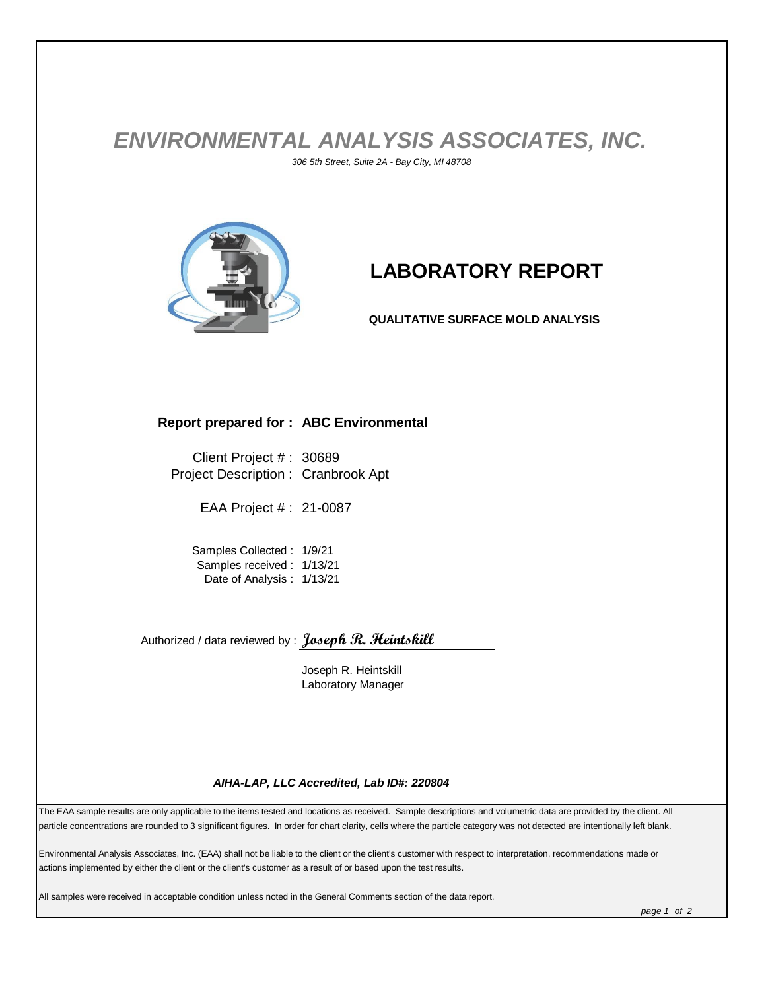## *ENVIRONMENTAL ANALYSIS ASSOCIATES, INC. 306 5th Street, Suite 2A - Bay City, MI 48708*



# **LABORATORY REPORT**

**QUALITATIVE SURFACE MOLD ANALYSIS**

#### **Report prepared for : ABC Environmental**

Client Project # : 30689 Project Description : Cranbrook Apt

EAA Project # : 21-0087

Samples Collected : 1/9/21 Samples received : 1/13/21 Date of Analysis : 1/13/21

Authorized / data reviewed by : **Joseph R. Heintskill**

Joseph R. Heintskill Laboratory Manager

#### *AIHA-LAP, LLC Accredited, Lab ID#: 220804*

The EAA sample results are only applicable to the items tested and locations as received. Sample descriptions and volumetric data are provided by the client. All particle concentrations are rounded to 3 significant figures. In order for chart clarity, cells where the particle category was not detected are intentionally left blank.

Environmental Analysis Associates, Inc. (EAA) shall not be liable to the client or the client's customer with respect to interpretation, recommendations made or actions implemented by either the client or the client's customer as a result of or based upon the test results.

All samples were received in acceptable condition unless noted in the General Comments section of the data report.